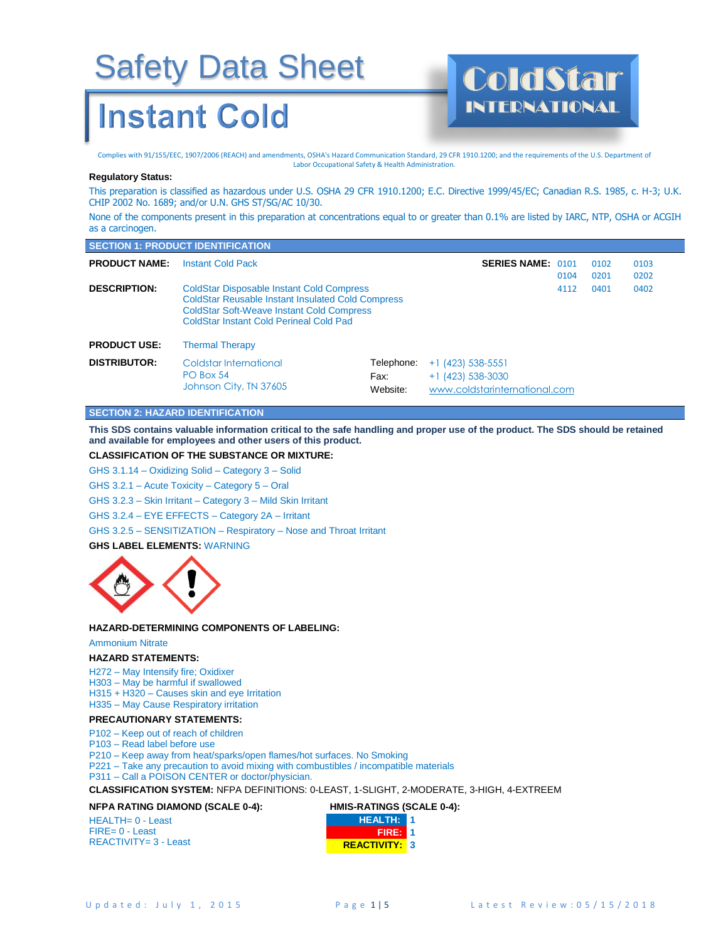### **Instant Cold**

Complies with 91/155/EEC, 1907/2006 (REACH) and amendments, OSHA's Hazard Communication Standard, 29 CFR 1910.1200; and the requirements of the U.S. Department of Labor Occupational Safety & Health Administration.

#### **Regulatory Status:**

This preparation is classified as hazardous under U.S. OSHA 29 CFR 1910.1200; E.C. Directive 1999/45/EC; Canadian R.S. 1985, c. H-3; U.K. CHIP 2002 No. 1689; and/or U.N. GHS ST/SG/AC 10/30.

INTERNATIONAL

None of the components present in this preparation at concentrations equal to or greater than 0.1% are listed by IARC, NTP, OSHA or ACGIH as a carcinogen.

|                      | <b>SECTION 1: PRODUCT IDENTIFICATION</b>                                                                                                                                                                    |                                |                                                                             |      |              |              |  |
|----------------------|-------------------------------------------------------------------------------------------------------------------------------------------------------------------------------------------------------------|--------------------------------|-----------------------------------------------------------------------------|------|--------------|--------------|--|
| <b>PRODUCT NAME:</b> | <b>Instant Cold Pack</b>                                                                                                                                                                                    |                                | <b>SERIES NAME: 0101</b>                                                    | 0104 | 0102<br>0201 | 0103<br>0202 |  |
| <b>DESCRIPTION:</b>  | <b>ColdStar Disposable Instant Cold Compress</b><br><b>ColdStar Reusable Instant Insulated Cold Compress</b><br><b>ColdStar Soft-Weave Instant Cold Compress</b><br>ColdStar Instant Cold Perineal Cold Pad |                                |                                                                             | 4112 | 0401         | 0402         |  |
| <b>PRODUCT USE:</b>  | <b>Thermal Therapy</b>                                                                                                                                                                                      |                                |                                                                             |      |              |              |  |
| <b>DISTRIBUTOR:</b>  | Coldstar International<br>PO Box 54<br>Johnson City, TN 37605                                                                                                                                               | Telephone:<br>Fax:<br>Website: | $+1$ (423) 538-5551<br>$+1$ (423) 538-3030<br>www.coldstarinternational.com |      |              |              |  |

#### **SECTION 2: HAZARD IDENTIFICATION**

**This SDS contains valuable information critical to the safe handling and proper use of the product. The SDS should be retained and available for employees and other users of this product.**

#### **CLASSIFICATION OF THE SUBSTANCE OR MIXTURE:**

GHS 3.1.14 – Oxidizing Solid – Category 3 – Solid

GHS 3.2.1 – Acute Toxicity – Category 5 – Oral

GHS 3.2.3 – Skin Irritant – Category 3 – Mild Skin Irritant

GHS 3.2.4 – EYE EFFECTS – Category 2A – Irritant

GHS 3.2.5 – SENSITIZATION – Respiratory – Nose and Throat Irritant

#### **GHS LABEL ELEMENTS:** WARNING



**HAZARD-DETERMINING COMPONENTS OF LABELING:**

#### Ammonium Nitrate

**HAZARD STATEMENTS:**

H272 – May Intensify fire; Oxidixer

H303 – May be harmful if swallowed

H315 + H320 – Causes skin and eye Irritation

H335 – May Cause Respiratory irritation

#### **PRECAUTIONARY STATEMENTS:**

P102 – Keep out of reach of children

P103 – Read label before use

P210 – Keep away from heat/sparks/open flames/hot surfaces. No Smoking

P221 – Take any precaution to avoid mixing with combustibles / incompatible materials

P311 – Call a POISON CENTER or doctor/physician.

**CLASSIFICATION SYSTEM:** NFPA DEFINITIONS: 0-LEAST, 1-SLIGHT, 2-MODERATE, 3-HIGH, 4-EXTREEM

#### **NFPA RATING DIAMOND (SCALE 0-4):**

| $HEALTH = 0 - Least$     | <b>HEALTH: 11</b>   |  |
|--------------------------|---------------------|--|
| $FIRE = 0 - Least$       | <b>FIRE: 1</b>      |  |
| $REACTIVITY = 3 - Least$ | <b>REACTIVITY 3</b> |  |

**HMIS-RATINGS (SCALE 0-4):**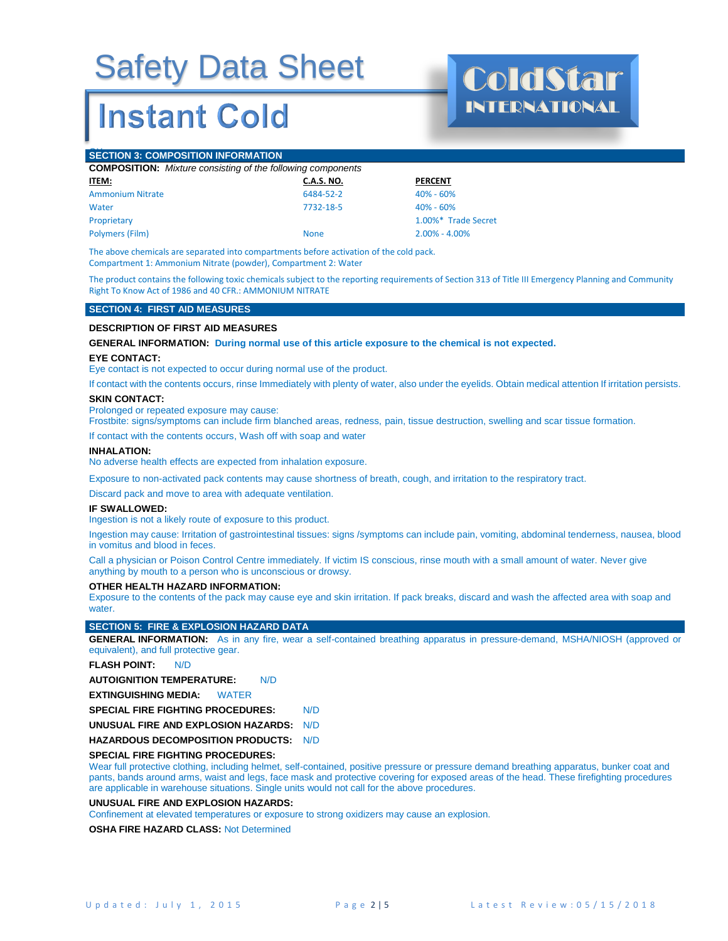### **Instant Cold**

INTERNATIONAL

#### **SECTION 3: COMPOSITION INFORMATION**

| <b>COMPOSITION:</b> Mixture consisting of the following components |                   |                     |  |  |  |
|--------------------------------------------------------------------|-------------------|---------------------|--|--|--|
| <u>ITEM:</u>                                                       | <b>C.A.S. NO.</b> | <b>PERCENT</b>      |  |  |  |
| <b>Ammonium Nitrate</b>                                            | 6484-52-2         | $40\% - 60\%$       |  |  |  |
| Water                                                              | 7732-18-5         | $40\% - 60\%$       |  |  |  |
| Proprietary                                                        |                   | 1.00%* Trade Secret |  |  |  |
| Polymers (Film)                                                    | <b>None</b>       | $2.00\% - 4.00\%$   |  |  |  |

The above chemicals are separated into compartments before activation of the cold pack. Compartment 1: Ammonium Nitrate (powder), Compartment 2: Water

The product contains the following toxic chemicals subject to the reporting requirements of Section 313 of Title III Emergency Planning and Community Right To Know Act of 1986 and 40 CFR.: AMMONIUM NITRATE

#### **SECTION 4: FIRST AID MEASURES**

#### **DESCRIPTION OF FIRST AID MEASURES**

**GENERAL INFORMATION: During normal use of this article exposure to the chemical is not expected.** 

#### **EYE CONTACT:**

Eye contact is not expected to occur during normal use of the product.

If contact with the contents occurs, rinse Immediately with plenty of water, also under the eyelids. Obtain medical attention If irritation persists.

#### **SKIN CONTACT:**

Prolonged or repeated exposure may cause:

Frostbite: signs/symptoms can include firm blanched areas, redness, pain, tissue destruction, swelling and scar tissue formation.

If contact with the contents occurs, Wash off with soap and water

#### **INHALATION:**

No adverse health effects are expected from inhalation exposure.

Exposure to non-activated pack contents may cause shortness of breath, cough, and irritation to the respiratory tract.

Discard pack and move to area with adequate ventilation.

#### **IF SWALLOWED:**

Ingestion is not a likely route of exposure to this product.

Ingestion may cause: Irritation of gastrointestinal tissues: signs /symptoms can include pain, vomiting, abdominal tenderness, nausea, blood in vomitus and blood in feces.

Call a physician or Poison Control Centre immediately. If victim IS conscious, rinse mouth with a small amount of water. Never give anything by mouth to a person who is unconscious or drowsy.

#### **OTHER HEALTH HAZARD INFORMATION:**

Exposure to the contents of the pack may cause eye and skin irritation. If pack breaks, discard and wash the affected area with soap and water.

#### **SECTION 5: FIRE & EXPLOSION HAZARD DATA**

**GENERAL INFORMATION:** As in any fire, wear a self-contained breathing apparatus in pressure-demand, MSHA/NIOSH (approved or equivalent), and full protective gear.

#### **FLASH POINT:** N/D

**AUTOIGNITION TEMPERATURE:** N/D

**EXTINGUISHING MEDIA:** WATER

**SPECIAL FIRE FIGHTING PROCEDURES:** N/D

**UNUSUAL FIRE AND EXPLOSION HAZARDS:** N/D

**HAZARDOUS DECOMPOSITION PRODUCTS:** N/D

#### **SPECIAL FIRE FIGHTING PROCEDURES:**

Wear full protective clothing, including helmet, self-contained, positive pressure or pressure demand breathing apparatus, bunker coat and pants, bands around arms, waist and legs, face mask and protective covering for exposed areas of the head. These firefighting procedures are applicable in warehouse situations. Single units would not call for the above procedures.

#### **UNUSUAL FIRE AND EXPLOSION HAZARDS:**

Confinement at elevated temperatures or exposure to strong oxidizers may cause an explosion.

**OSHA FIRE HAZARD CLASS:** Not Determined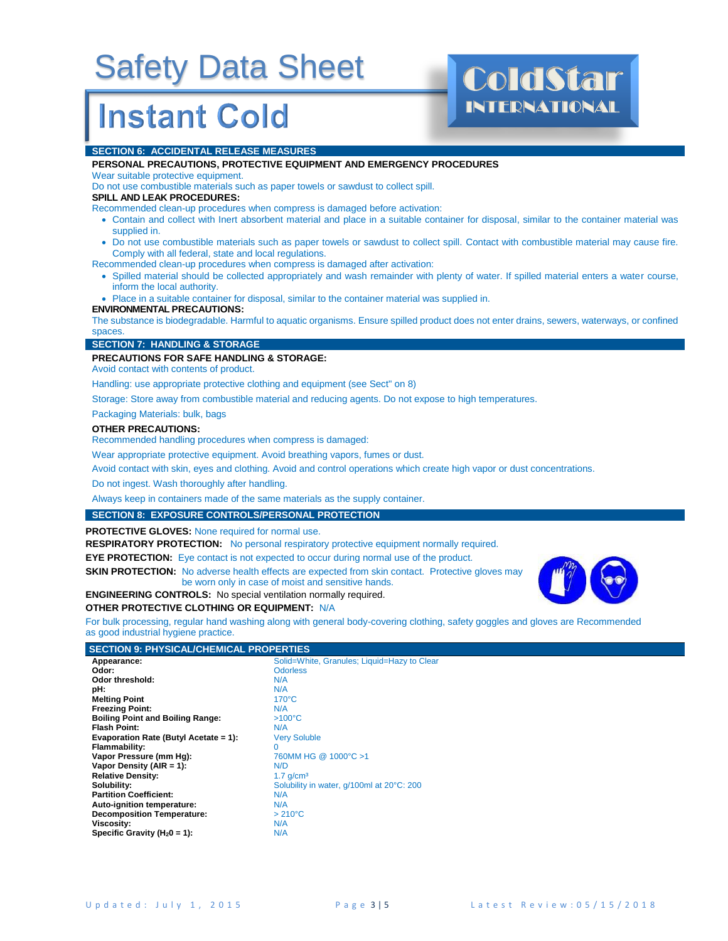### **Instant Cold**

# INTERNATIONAL

#### **SECTION 6: ACCIDENTAL RELEASE MEASURES**

#### **PERSONAL PRECAUTIONS, PROTECTIVE EQUIPMENT AND EMERGENCY PROCEDURES**

Wear suitable protective equipment.

Do not use combustible materials such as paper towels or sawdust to collect spill.

#### **SPILL AND LEAK PROCEDURES:**

Recommended clean-up procedures when compress is damaged before activation:

- Contain and collect with Inert absorbent material and place in a suitable container for disposal, similar to the container material was supplied in.
- Do not use combustible materials such as paper towels or sawdust to collect spill. Contact with combustible material may cause fire. Comply with all federal, state and local regulations.

Recommended clean-up procedures when compress is damaged after activation:

• Spilled material should be collected appropriately and wash remainder with plenty of water. If spilled material enters a water course, inform the local authority.

• Place in a suitable container for disposal, similar to the container material was supplied in.

#### **ENVIRONMENTAL PRECAUTIONS:**

The substance is biodegradable. Harmful to aquatic organisms. Ensure spilled product does not enter drains, sewers, waterways, or confined spaces.

#### **SECTION 7: HANDLING & STORAGE**

#### **PRECAUTIONS FOR SAFE HANDLING & STORAGE:**

Avoid contact with contents of product.

Handling: use appropriate protective clothing and equipment (see Sect" on 8)

Storage: Store away from combustible material and reducing agents. Do not expose to high temperatures.

Packaging Materials: bulk, bags

#### **OTHER PRECAUTIONS:**

Recommended handling procedures when compress is damaged:

Wear appropriate protective equipment. Avoid breathing vapors, fumes or dust.

Avoid contact with skin, eyes and clothing. Avoid and control operations which create high vapor or dust concentrations.

Do not ingest. Wash thoroughly after handling.

Always keep in containers made of the same materials as the supply container.

#### **SECTION 8: EXPOSURE CONTROLS/PERSONAL PROTECTION**

**PROTECTIVE GLOVES:** None required for normal use.

**RESPIRATORY PROTECTION:** No personal respiratory protective equipment normally required.

**EYE PROTECTION:** Eye contact is not expected to occur during normal use of the product.

**SKIN PROTECTION:** No adverse health effects are expected from skin contact. Protective gloves may be worn only in case of moist and sensitive hands.

#### **ENGINEERING CONTROLS:** No special ventilation normally required.

#### **OTHER PROTECTIVE CLOTHING OR EQUIPMENT:** N/A

For bulk processing, regular hand washing along with general body-covering clothing, safety goggles and gloves are Recommended as good industrial hygiene practice.

#### **SECTION 9: PHYSICAL/CHEMICAL PROPERTIES**

| Appearance:                             | Solid=White, Granules; Liquid=Hazy to Clear |
|-----------------------------------------|---------------------------------------------|
| Odor:                                   | <b>Odorless</b>                             |
| Odor threshold:                         | N/A                                         |
| pH:                                     | N/A                                         |
| <b>Melting Point</b>                    | $170^{\circ}$ C                             |
| <b>Freezing Point:</b>                  | N/A                                         |
| <b>Boiling Point and Boiling Range:</b> | $>100^{\circ}$ C                            |
| <b>Flash Point:</b>                     | N/A                                         |
| Evaporation Rate (Butyl Acetate = 1):   | <b>Very Soluble</b>                         |
| Flammability:                           | 0                                           |
| Vapor Pressure (mm Hg):                 | 760MM HG @ 1000°C >1                        |
| Vapor Density (AIR = 1):                | N/D                                         |
| <b>Relative Density:</b>                | $1.7$ g/cm <sup>3</sup>                     |
| Solubility:                             | Solubility in water, g/100ml at 20°C: 200   |
| <b>Partition Coefficient:</b>           | N/A                                         |
| Auto-ignition temperature:              | N/A                                         |
| <b>Decomposition Temperature:</b>       | $>210^{\circ}$ C                            |
| Viscosity:                              | N/A                                         |
| Specific Gravity ( $H_20 = 1$ ):        | N/A                                         |
|                                         |                                             |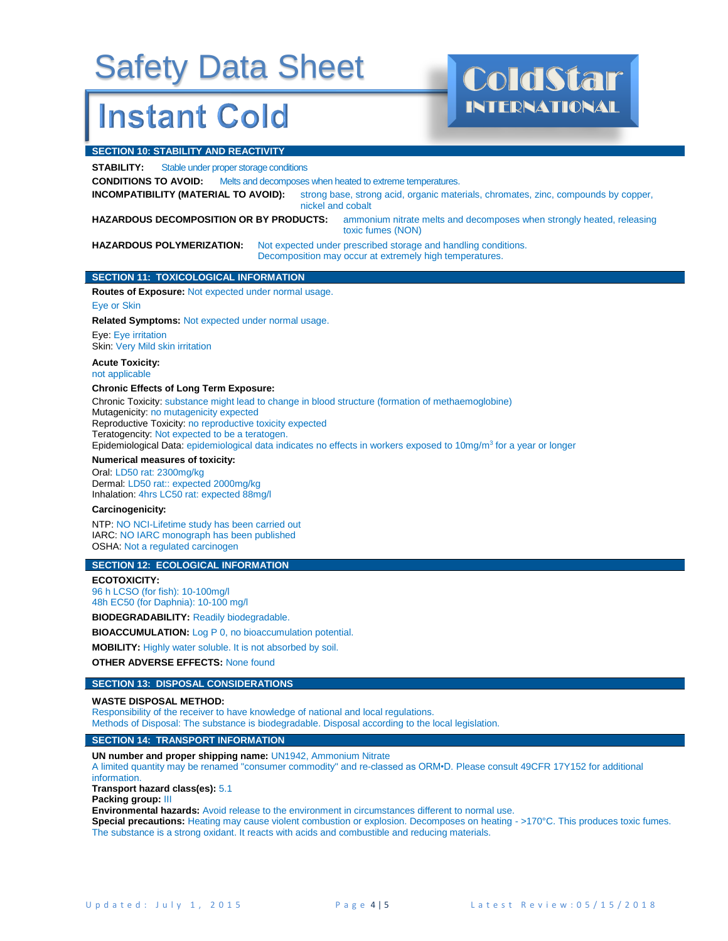### **Instant Cold**

INTERNATIONAL

#### **SECTION 10: STABILITY AND REACTIVITY**

**STABILITY:** Stable under proper storage conditions

**CONDITIONS TO AVOID:** Melts and decomposes when heated to extreme temperatures.

**INCOMPATIBILITY (MATERIAL TO AVOID):** strong base, strong acid, organic materials, chromates, zinc, compounds by copper, nickel and cobalt

**HAZARDOUS DECOMPOSITION OR BY PRODUCTS:** ammonium nitrate melts and decomposes when strongly heated, releasing toxic fumes (NON)

**HAZARDOUS POLYMERIZATION:** Not expected under prescribed storage and handling conditions. Decomposition may occur at extremely high temperatures.

#### **SECTION 11: TOXICOLOGICAL INFORMATION**

**Routes of Exposure:** Not expected under normal usage. Eye or Skin

**Related Symptoms:** Not expected under normal usage.

Eye: Eye irritation Skin: Very Mild skin irritation

#### **Acute Toxicity:**

not applicable

#### **Chronic Effects of Long Term Exposure:**

Chronic Toxicity: substance might lead to change in blood structure (formation of methaemoglobine) Mutagenicity: no mutagenicity expected Reproductive Toxicity: no reproductive toxicity expected

Teratogencity: Not expected to be a teratogen.

Epidemiological Data: epidemiological data indicates no effects in workers exposed to 10mg/m<sup>3</sup> for a year or longer

#### **Numerical measures of toxicity:**

Oral: LD50 rat: 2300mg/kg Dermal: LD50 rat:: expected 2000mg/kg Inhalation: 4hrs LC50 rat: expected 88mg/l

#### **Carcinogenicity:**

NTP: NO NCI-Lifetime study has been carried out IARC: NO IARC monograph has been published OSHA: Not a regulated carcinogen

#### **SECTION 12: ECOLOGICAL INFORMATION**

**ECOTOXICITY:**

96 h LCSO (for fish): 10-100mg/l 48h EC50 (for Daphnia): 10-100 mg/l

**BIODEGRADABILITY:** Readily biodegradable.

**BIOACCUMULATION:** Log P 0, no bioaccumulation potential.

**MOBILITY:** Highly water soluble. It is not absorbed by soil.

**OTHER ADVERSE EFFECTS:** None found

#### **SECTION 13: DISPOSAL CONSIDERATIONS**

#### **WASTE DISPOSAL METHOD:**

Responsibility of the receiver to have knowledge of national and local regulations. Methods of Disposal: The substance is biodegradable. Disposal according to the local legislation.

#### **SECTION 14: TRANSPORT INFORMATION**

**UN number and proper shipping name:** UN1942, Ammonium Nitrate

A limited quantity may be renamed "consumer commodity" and re-classed as ORM•D. Please consult 49CFR 17Y152 for additional information.

**Transport hazard class(es):** 5.1

**Packing group:** III

**Environmental hazards:** Avoid release to the environment in circumstances different to normal use.

**Special precautions:** Heating may cause violent combustion or explosion. Decomposes on heating - >170°C. This produces toxic fumes. The substance is a strong oxidant. It reacts with acids and combustible and reducing materials.